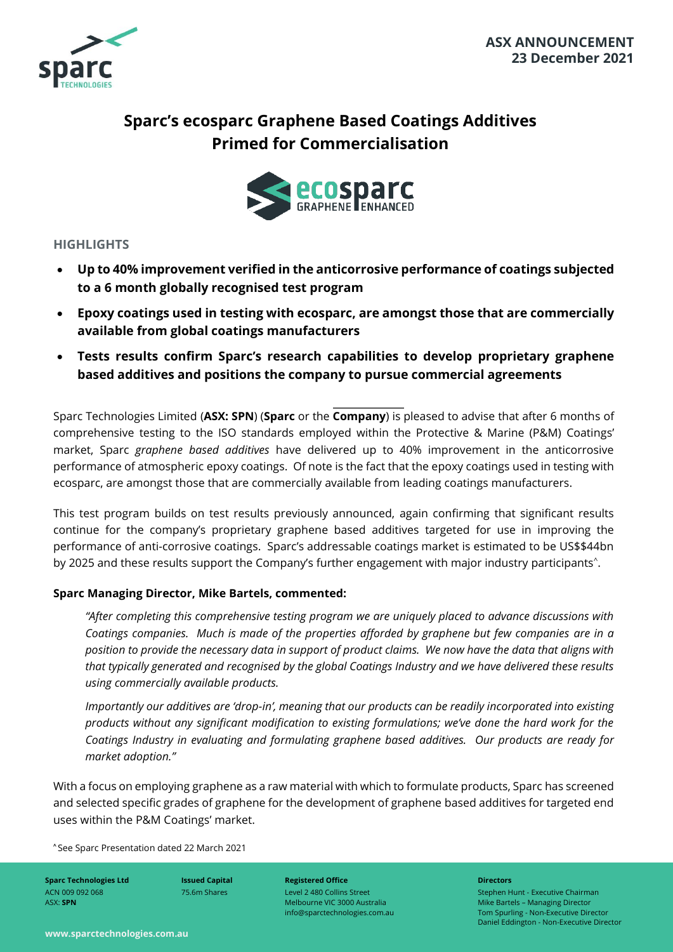

# **Sparc's ecosparc Graphene Based Coatings Additives Primed for Commercialisation**



# **HIGHLIGHTS**

- **Up to 40% improvement verified in the anticorrosive performance of coatings subjected to a 6 month globally recognised test program**
- **Epoxy coatings used in testing with ecosparc, are amongst those that are commercially available from global coatings manufacturers**
- **Tests results confirm Sparc's research capabilities to develop proprietary graphene based additives and positions the company to pursue commercial agreements**

Sparc Technologies Limited (**ASX: SPN**) (**Sparc** or the **Company**) is pleased to advise that after 6 months of comprehensive testing to the ISO standards employed within the Protective & Marine (P&M) Coatings' market, Sparc *graphene based additives* have delivered up to 40% improvement in the anticorrosive performance of atmospheric epoxy coatings. Of note is the fact that the epoxy coatings used in testing with ecosparc, are amongst those that are commercially available from leading coatings manufacturers.

This test program builds on test results previously announced, again confirming that significant results continue for the company's proprietary graphene based additives targeted for use in improving the performance of anti-corrosive coatings. Sparc's addressable coatings market is estimated to be US\$\$44bn by 2025 and these results support the Company's further engagement with major industry participants^.

# **Sparc Managing Director, Mike Bartels, commented:**

*"After completing this comprehensive testing program we are uniquely placed to advance discussions with Coatings companies. Much is made of the properties afforded by graphene but few companies are in a position to provide the necessary data in support of product claims. We now have the data that aligns with that typically generated and recognised by the global Coatings Industry and we have delivered these results using commercially available products.*

*Importantly our additives are 'drop-in', meaning that our products can be readily incorporated into existing products without any significant modification to existing formulations; we've done the hard work for the Coatings Industry in evaluating and formulating graphene based additives. Our products are ready for market adoption."*

With a focus on employing graphene as a raw material with which to formulate products, Sparc has screened and selected specific grades of graphene for the development of graphene based additives for targeted end uses within the P&M Coatings' market. market adoption."<br>
With a focus on employing graphene<br>
and selected specific grades of graph<br>
uses within the P&M Coatings' marke<br>
See Sparc Presentation dated 22 March 2021

**Sparc Technologies Ltd** ACN 009 092 068 ASX: **SPN**

**Issued Capital** 75.6m Shares

**Registered Office** Level 2 480 Collins Street Melbourne VIC 3000 Australia info@sparctechnologies.com.au **Directors**

Stephen Hunt - Executive Chairman Mike Bartels – Managing Director Tom Spurling - Non-Executive Director Daniel Eddington - Non-Executive Director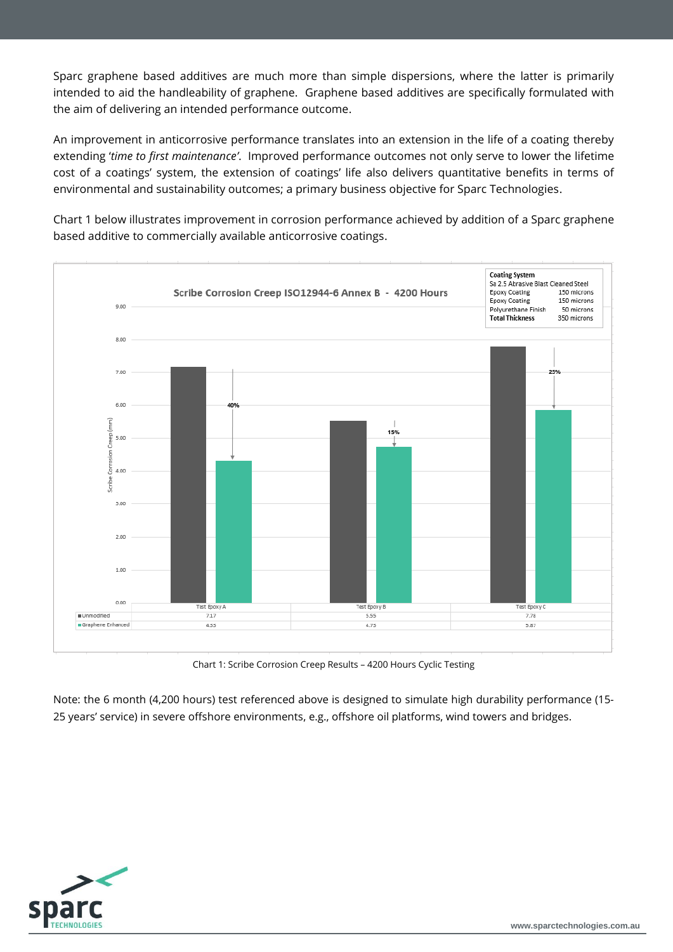Sparc graphene based additives are much more than simple dispersions, where the latter is primarily intended to aid the handleability of graphene. Graphene based additives are specifically formulated with the aim of delivering an intended performance outcome.

An improvement in anticorrosive performance translates into an extension in the life of a coating thereby extending '*time to first maintenance'*. Improved performance outcomes not only serve to lower the lifetime cost of a coatings' system, the extension of coatings' life also delivers quantitative benefits in terms of environmental and sustainability outcomes; a primary business objective for Sparc Technologies.

Chart 1 below illustrates improvement in corrosion performance achieved by addition of a Sparc graphene based additive to commercially available anticorrosive coatings.



Chart 1: Scribe Corrosion Creep Results – 4200 Hours Cyclic Testing

Note: the 6 month (4,200 hours) test referenced above is designed to simulate high durability performance (15- 25 years' service) in severe offshore environments, e.g., offshore oil platforms, wind towers and bridges.

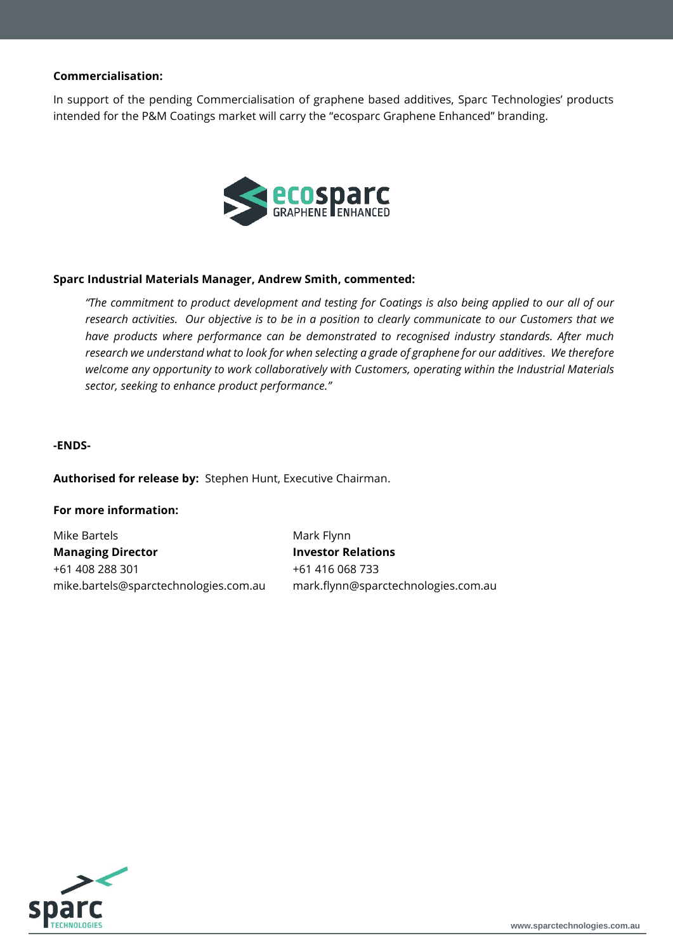## **Commercialisation:**

In support of the pending Commercialisation of graphene based additives, Sparc Technologies' products intended for the P&M Coatings market will carry the "ecosparc Graphene Enhanced" branding.



#### **Sparc Industrial Materials Manager, Andrew Smith, commented:**

*"The commitment to product development and testing for Coatings is also being applied to our all of our research activities. Our objective is to be in a position to clearly communicate to our Customers that we have products where performance can be demonstrated to recognised industry standards. After much research we understand what to look for when selecting a grade of graphene for our additives. We therefore welcome any opportunity to work collaboratively with Customers, operating within the Industrial Materials sector, seeking to enhance product performance."*

#### **-ENDS-**

**Authorised for release by:** Stephen Hunt, Executive Chairman.

#### **For more information:**

Mike Bartels **Managing Director** +61 408 288 301 mike.bartels@sparctechnologies.com.au Mark Flynn **Investor Relations** +61 416 068 733 mark.flynn@sparctechnologies.com.au